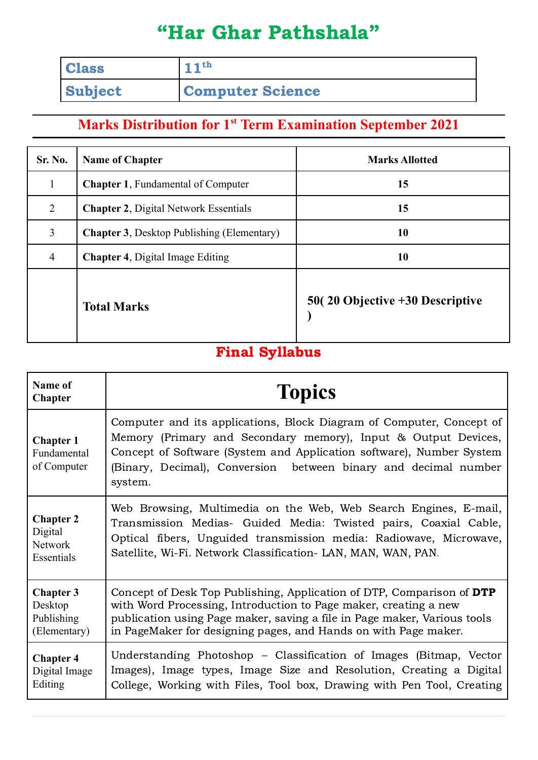## "Har Ghar Pathshala"

| <b>Class</b>   | $11^{th}$               |
|----------------|-------------------------|
| <b>Subject</b> | <b>Computer Science</b> |

## **Marks Distribution for 1 st Term Examination September 2021**

| Sr. No.        | <b>Name of Chapter</b>                            | <b>Marks Allotted</b>                            |
|----------------|---------------------------------------------------|--------------------------------------------------|
| $\mathbf{1}$   | <b>Chapter 1, Fundamental of Computer</b>         | 15                                               |
| 2              | <b>Chapter 2, Digital Network Essentials</b>      | 15                                               |
| $\overline{3}$ | <b>Chapter 3.</b> Desktop Publishing (Elementary) | 10                                               |
| $\overline{4}$ | <b>Chapter 4, Digital Image Editing</b>           | 10                                               |
|                | <b>Total Marks</b>                                | $50(20 \text{ Objective} + 30 \text{ Describe})$ |

## Final Syllabus

| Name of<br><b>Chapter</b>                      | <b>Topics</b>                                                                                                                                                                                                                                                                                |
|------------------------------------------------|----------------------------------------------------------------------------------------------------------------------------------------------------------------------------------------------------------------------------------------------------------------------------------------------|
| <b>Chapter 1</b><br>Fundamental<br>of Computer | Computer and its applications, Block Diagram of Computer, Concept of<br>Memory (Primary and Secondary memory), Input & Output Devices,<br>Concept of Software (System and Application software), Number System<br>(Binary, Decimal), Conversion between binary and decimal number<br>system. |
| <b>Chapter 2</b>                               | Web Browsing, Multimedia on the Web, Web Search Engines, E-mail,                                                                                                                                                                                                                             |
| Digital                                        | Transmission Medias- Guided Media: Twisted pairs, Coaxial Cable,                                                                                                                                                                                                                             |
| <b>Network</b>                                 | Optical fibers, Unguided transmission media: Radiowave, Microwave,                                                                                                                                                                                                                           |
| Essentials                                     | Satellite, Wi-Fi. Network Classification-LAN, MAN, WAN, PAN.                                                                                                                                                                                                                                 |
| <b>Chapter 3</b>                               | Concept of Desk Top Publishing, Application of DTP, Comparison of DTP                                                                                                                                                                                                                        |
| Desktop                                        | with Word Processing, Introduction to Page maker, creating a new                                                                                                                                                                                                                             |
| Publishing                                     | publication using Page maker, saving a file in Page maker, Various tools                                                                                                                                                                                                                     |
| (Elementary)                                   | in PageMaker for designing pages, and Hands on with Page maker.                                                                                                                                                                                                                              |
| <b>Chapter 4</b>                               | Understanding Photoshop – Classification of Images (Bitmap, Vector                                                                                                                                                                                                                           |
| Digital Image                                  | Images), Image types, Image Size and Resolution, Creating a Digital                                                                                                                                                                                                                          |
| Editing                                        | College, Working with Files, Tool box, Drawing with Pen Tool, Creating                                                                                                                                                                                                                       |